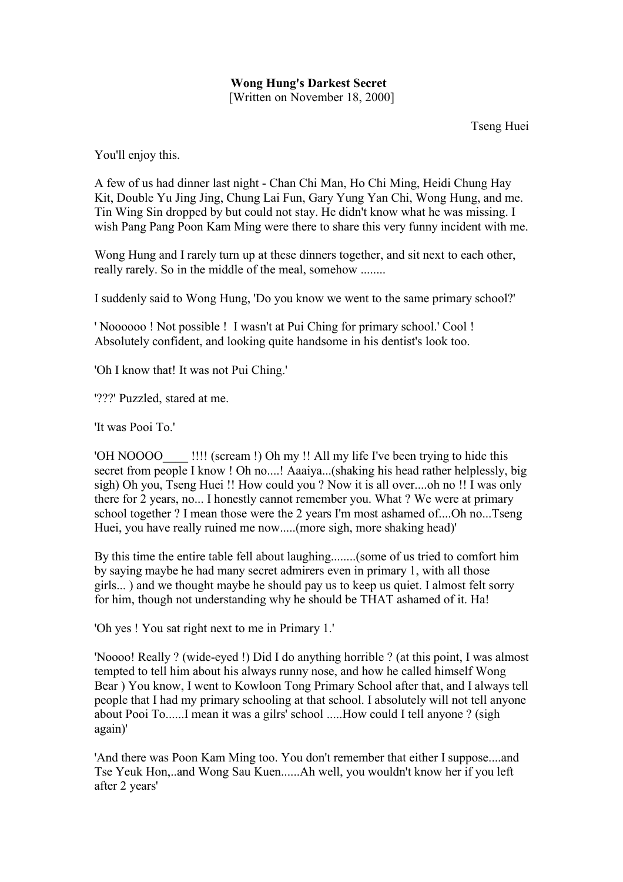## **Wong Hung's Darkest Secret** [Written on November 18, 2000]

Tseng Huei

You'll enjoy this.

A few of us had dinner last night - Chan Chi Man, Ho Chi Ming, Heidi Chung Hay Kit, Double Yu Jing Jing, Chung Lai Fun, Gary Yung Yan Chi, Wong Hung, and me. Tin Wing Sin dropped by but could not stay. He didn't know what he was missing. I wish Pang Pang Poon Kam Ming were there to share this very funny incident with me.

Wong Hung and I rarely turn up at these dinners together, and sit next to each other, really rarely. So in the middle of the meal, somehow ........

I suddenly said to Wong Hung, 'Do you know we went to the same primary school?'

' Noooooo ! Not possible ! I wasn't at Pui Ching for primary school.' Cool ! Absolutely confident, and looking quite handsome in his dentist's look too.

'Oh I know that! It was not Pui Ching.'

'???' Puzzled, stared at me.

'It was Pooi To.'

'OH NOOOO !!!! (scream !) Oh my !! All my life I've been trying to hide this secret from people I know ! Oh no....! Aaaiya...(shaking his head rather helplessly, big sigh) Oh you, Tseng Huei !! How could you ? Now it is all over....oh no !! I was only there for 2 years, no... I honestly cannot remember you. What ? We were at primary school together ? I mean those were the 2 years I'm most ashamed of....Oh no...Tseng Huei, you have really ruined me now.....(more sigh, more shaking head)'

By this time the entire table fell about laughing........(some of us tried to comfort him by saying maybe he had many secret admirers even in primary 1, with all those girls... ) and we thought maybe he should pay us to keep us quiet. I almost felt sorry for him, though not understanding why he should be THAT ashamed of it. Ha!

'Oh yes ! You sat right next to me in Primary 1.'

'Noooo! Really ? (wide-eyed !) Did I do anything horrible ? (at this point, I was almost tempted to tell him about his always runny nose, and how he called himself Wong Bear ) You know, I went to Kowloon Tong Primary School after that, and I always tell people that I had my primary schooling at that school. I absolutely will not tell anyone about Pooi To......I mean it was a gilrs' school .....How could I tell anyone ? (sigh again)'

'And there was Poon Kam Ming too. You don't remember that either I suppose....and Tse Yeuk Hon,..and Wong Sau Kuen......Ah well, you wouldn't know her if you left after 2 years'